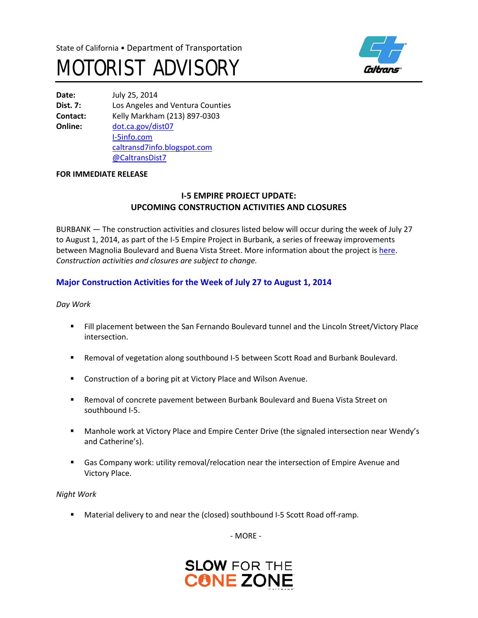



**Date:** July 25, 2014 **Dist. 7:** Los Angeles and Ventura Counties **Contact:** Kelly Markham (213) 897-0303 **Online:** [dot.ca.gov/dist07](http://www.dot.ca.gov/dist07) [I-5info.com](http://www.i-5info.com/) [caltransd7info.blogspot.com](http://caltransd7info.blogspot.com/) @CaltransDist7

#### **FOR IMMEDIATE RELEASE**

## **I-5 EMPIRE PROJECT UPDATE: UPCOMING CONSTRUCTION ACTIVITIES AND CLOSURES**

BURBANK — The construction activities and closures listed below will occur during the week of July 27 to August 1, 2014, as part of the I-5 Empire Project in Burbank, a series of freeway improvements between Magnolia Boulevard and Buena Vista Street. More information about the project i[s here.](http://i-5info.com/magnolia-boulevard-to-buena-vista-street/) *Construction activities and closures are subject to change.*

## **Major Construction Activities for the Week of July 27 to August 1, 2014**

*Day Work* 

- Fill placement between the San Fernando Boulevard tunnel and the Lincoln Street/Victory Place intersection.
- Removal of vegetation along southbound I-5 between Scott Road and Burbank Boulevard.
- **EXTERGHT Construction of a boring pit at Victory Place and Wilson Avenue.**
- Removal of concrete pavement between Burbank Boulevard and Buena Vista Street on southbound I-5.
- Manhole work at Victory Place and Empire Center Drive (the signaled intersection near Wendy's and Catherine's).
- Gas Company work: utility removal/relocation near the intersection of Empire Avenue and Victory Place.

*Night Work*

Material delivery to and near the (closed) southbound I-5 Scott Road off-ramp.

- MORE -